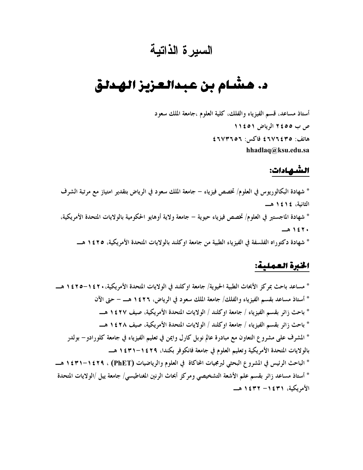## السيرة الذاتية

# د. هشــام بن عبـدالـعـزيـز الـهـدلـق

أستاذ مساعد، قسم الفيزياء والفلك، كلية العلوم ،جامعة الملك سعود ص ب ٢٤٥٥ الرياض ١١٤٥١ ھاتف: ٤٦٧٦٤٣٥ فاكس: ٤٦٧٣٦٥٦ hhadlaq@ksu.edu.sa

#### الشهادات:

\* شهادة البكالوريوس في العلوم/ تخصص فيزياء – جامعة الملك سعود في الرياض بتقدير امتياز مع مرتبة الشرف الثانية، ١٤١٤هـ \* شهادة الماجستير في العلوم/ تخصص فيزياء حيوية – جامعة ولاية أوهايو الحكومية بالولايات المتحدة الأمريكية، ۱٤٢٠ هـ \* شهادة دكتوراه الفلسفة في الفيزياء الطبية من جامعة اوكلند بالولايات المتحدة الأمريكية، ١٤٢٥ هـــ

#### الخبرة العملية:

\* مساعد باحث بمركز الأبحاث الطبية الحيوية/ جامعة اوكلند في الولايات المتحدة الأمريكية، • ٢ ٤ ١ – ٢ ٤ ١ هـــ \* أستاذ مساعد بقسم الفيزياء والفلك/ جامعة الملك سعود في الرياض، ١٤٢٦ هــ – حتى الآن \* باحث زائر بقسم الفيزياء / جامعة اوكلند / الولايات المتحدة الأمريكية، صيف ١٤٢٧ هـــ \* باحث زائر بقسم الفيزياء / جامعة اوكلند / الولايات المتحدة الأمريكية، صيف ١٤٢٨ هـــ \* المشرف على مشروع التعاون مع مبادرة عالم نوبل كارل وايمن في تعليم الفيزياء في جامعة كلورادو – بولدر بالولايات المتحدة الأمريكية وتعليم العلوم في جامعة فانكوفر بكندا، ١٤٢٩–١٤٣١ هـــ \* الباحث الرئيس في المشروع البحثي لبرمجيات المحاكاة في العلوم والرياضيات (PhET) ، ١٤٢٩-١٤٣١ هــــــ \* أستاذ مساعد زائر بقسم علم الأشعة التشخيصي ومركز أبحاث الرنين المغناطيسي/ جامعة ييل /الولايات المتحدة الأمريكية، ١٤٣١– ١٤٣٢ هـــ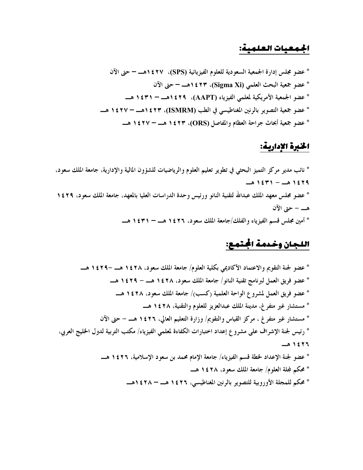#### الجمعيات العلمية:

\* عضو مجلس إدارة الجمعية السعودية للعلوم الفيزيائية (SPS)، ١٤٢٧هـ – حتى الآن \* عضو الجمعية الأمريكية لمعلمي الفيزياء (AAPT)، ١٤٢٩هــ – ١٤٣١ هــ \* عضو جمعية التصوير بالرنين المغناطيسي في الطب (ISMRM)، ١٤٢٣هــ = ١٤٢٧ هــ \* عضو جمعية أبحاث جراحة العظام والمفاصل (ORS)، ١٤٢٣ هــ - ١٤٢٧ هــ

#### الخبرة الإدارية:

\* نائب مدير مركز التميز البحثي في تطوير تعليم العلوم والرياضيات للشؤون المالية والإدارية، جامعة الملك سعود،  $-21571 - 21579$ \* عضو مجلس معهد الملك عبدالله لتقنية النانو ورئيس وحدة الدراسات العليا بالمعهد، جامعة الملك سعود، ٢٩٤٢ هـــ – حتى الآن \* أمين مجلس قسم الفيزياء والفلك/جامعة الملك سعود، ١٤٢٦ هــ – ١٤٣١ هــ

### اللجان وخدمة الجتمع:

\* عضو لجنة التقويم والاعتماد الأكاديمي بكلية العلوم/ جامعة الملك سعود، ١٤٢٨ هــ –١٤٢٩ هــ \* عضو فريق العمل لبرنامج تقنية النانو / جامعة الملك سعود، ١٤٢٨ هــ – ١٤٢٩ هــ \* عضو فريق العمل لمشروع الواحة العلمية (كسب)/ جامعة الملك سعود، ١٤٢٨ هـــ \* مستشار غير متفرغ، مدينة الملك عبدالعزيز للعلوم والتقنية، ١٤٢٨ هـــ \* مستشار غير متفرغ ، مركز القياس والتقويم/ وزارة التعليم العالي، ١٤٢٦ هــ – حتى الآن \* رئيس لجنة الإشراف على مشروع إعداد اختبارات الكفاءة لمعلمي الفيزياء/ مكتب التربية لدول الحليج العربي، ١٤٢٦هـ \* عضو لجنة الإعداد لخطة قسم الفيزياء/ جامعة الإمام محمد بن سعود الإسلامية، ١٤٢٦ هـــ \* محكم لمجلة العلوم/ جامعة الملك سعود، ١٤٢٨ هـــ \* محكم للمجلة الأوروبية للتصوير بالرنين المغناطيسي، ١٤٢٦ هــ = ١٤٢٨هــ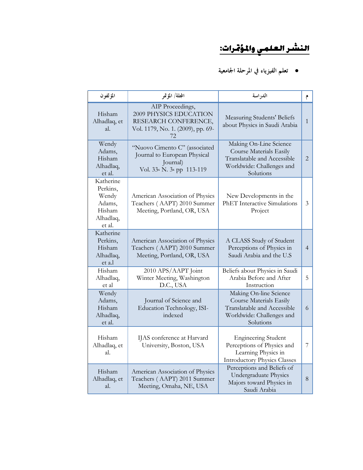## <u>النشر العلمي والمؤمّرات:</u>

#### ● تعلم الفيزياء في المرحلة الجامعية

| المؤلفون                                                                  | المجلة/ المؤتمر                                                                                                | الدراسة                                                                                                                    | م              |
|---------------------------------------------------------------------------|----------------------------------------------------------------------------------------------------------------|----------------------------------------------------------------------------------------------------------------------------|----------------|
| Hisham<br>Alhadlaq, et<br>al.                                             | AIP Proceedings,<br>2009 PHYSICS EDUCATION<br>RESEARCH CONFERENCE,<br>Vol. 1179, No. 1. (2009), pp. 69-<br>72. | Measuring Students' Beliefs<br>about Physics in Saudi Arabia                                                               | $\mathbf{1}$   |
| Wendy<br>Adams,<br>Hisham<br>Alhadlaq,<br>et al.                          | "Nuovo Cimento C" (associated<br>Journal to European Physical<br>Journal)<br>Vol. 33. N. 3. pp 113-119         | Making On-Line Science<br>Course Materials Easily<br>Translatable and Accessible<br>Worldwide: Challenges and<br>Solutions | 2              |
| Katherine<br>Perkins,<br>Wendy<br>Adams,<br>Hisham<br>Alhadlaq,<br>et al. | American Association of Physics<br>Teachers (AAPT) 2010 Summer<br>Meeting, Portland, OR, USA                   | New Developments in the<br><b>PhET</b> Interactive Simulations<br>Project                                                  | 3              |
| Katherine<br>Perkins,<br>Hisham<br>Alhadlaq,<br>et a.l                    | American Association of Physics<br>Teachers (AAPT) 2010 Summer<br>Meeting, Portland, OR, USA                   | A CLASS Study of Student<br>Perceptions of Physics in<br>Saudi Arabia and the U.S                                          | $\overline{4}$ |
| Hisham<br>Alhadlaq,<br>et al                                              | 2010 APS/AAPT Joint<br>Winter Meeting, Washington<br>D.C., USA                                                 | Beliefs about Physics in Saudi<br>Arabia Before and After<br>Instruction                                                   | 5              |
| Wendy<br>Adams,<br>Hisham<br>Alhadlaq,<br>et al.                          | Journal of Science and<br>Education Technology, ISI-<br>indexed                                                | Making On-line Science<br>Course Materials Easily<br>Translatable and Accessible<br>Worldwide: Challenges and<br>Solutions | 6              |
| Hisham<br>Alhadlaq, et<br>al.                                             | IJAS conference at Harvard<br>University, Boston, USA                                                          | <b>Engineering Student</b><br>Perceptions of Physics and<br>Learning Physics in<br><b>Introductory Physics Classes</b>     | 7              |
| Hisham<br>Alhadlaq, et<br>al.                                             | American Association of Physics<br>Teachers (AAPT) 2011 Summer<br>Meeting, Omaha, NE, USA                      | Perceptions and Beliefs of<br>Undergraduate Physics<br>Majors toward Physics in<br>Saudi Arabia                            | $8\,$          |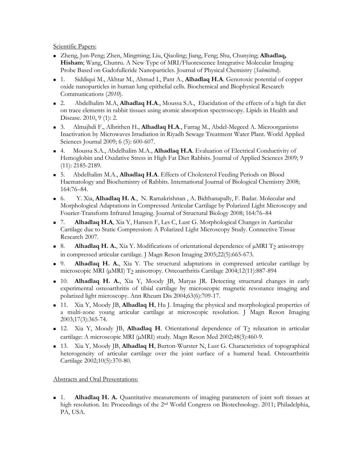Scientific Papers:

- Zheng, Jun-Peng; Zhen, Mingming; Liu, Qiaoling; Jiang, Feng; Shu, Chunying; **Alhadlaq, Hisham**; Wang, Chunru. A New Type of MRI/Fluorescence Integrative Molecular Imaging Probe Based on Gadofulleride Nanoparticles. Journal of Physical Chemistry (*Submitted*).
- 1. Siddiqui M., Akhtar M., Ahmad I., Pant A., **Alhadlaq H.A**. Genotoxic potential of copper oxide nanoparticles in human lung epithelial cells. Biochemical and Biophysical Research Communications (*2010*).
- 2. Abdelhalim M.A, **Alhadlaq H.A**., Moussa S.A., Elucidation of the effects of a high fat diet on trace elements in rabbit tissues using atomic absorption spectroscopy. Lipids in Health and Disease. 2010, 9 (1): 2.
- 3. Almajhdi F., Albrithen H., **Alhadlaq H.A**., Farrag M., Abdel-Megeed A. Microorganisms Inactivation by Microwaves Irradiation in Riyadh Sewage Treatment Water Plant. World Applied Sciences Journal 2009; 6 (5): 600-607.
- 4. Moussa S.A., Abdelhalim M.A., **Alhadlaq H.A**. Evaluation of Electrical Conductivity of Hemoglobin and Oxidative Stress in High Fat Diet Rabbits. Journal of Applied Sciences 2009; 9 (11): 2185-2189.
- 5. Abdelhalim M.A., **Alhadlaq H.A**. Effects of Cholesterol Feeding Periods on Blood Haematology and Biochemistry of Rabbits. International Journal of Biological Chemistry 2008; 164:76–84.
- 6. Y. Xia, **Alhadlaq H. A**., N. Ramakrishnan , A. Bidthanapally, F. Badar. Molecular and Morphological Adaptations in Compressed Articular Cartilage by Polarized Light Microscopy and Fourier-Transform Infrared Imaging. Journal of Structural Biology 2008; 164:76–84
- 7. **Alhadlaq H.A**, Xia Y, Hansen F, Les C, Lust G. Morphological Changes in Aarticular Cartilage due to Static Compression: A Polarized Light Microscopy Study. Connective Tissue Research 2007.
- 8. **Alhadlaq H. A.**, Xia Y. Modifications of orientational dependence of  $\mu$ MRI T<sub>2</sub> anisotropy in compressed articular cartilage. J Magn Reson Imaging 2005;22(5):665-673.
- 9. **Alhadlaq H. A.**, Xia Y. The structural adaptations in compressed articular cartilage by microscopic MRI (µMRI) T2 anisotropy. Osteoarthritis Cartilage 2004;12(11):887-894
- 10. **Alhadlaq H. A.**, Xia Y, Moody JB, Matyas JR. Detecting structural changes in early experimental osteoarthritis of tibial cartilage by microscopic magnetic resonance imaging and polarized light microscopy. Ann Rheum Dis 2004;63(6):709-17.
- 11. Xia Y, Moody JB, **Alhadlaq H**, Hu J. Imaging the physical and morphological properties of a multi-zone young articular cartilage at microscopic resolution. J Magn Reson Imaging 2003;17(3):365-74.
- 12. Xia Y, Moody JB, **Alhadlaq H**. Orientational dependence of T<sub>2</sub> relaxation in articular cartilage: A microscopic MRI (µMRI) study. Magn Reson Med 2002;48(3):460-9.
- 13. Xia Y, Moody JB, **Alhadlaq H**, Burton-Wurster N, Lust G. Characteristics of topographical heterogeneity of articular cartilage over the joint surface of a humeral head. Osteoarthritis Cartilage 2002;10(5):370-80.

Abstracts and Oral Presentations:

**1. Alhadlaq H. A.** Quantitative measurements of imaging parameters of joint soft tissues at high resolution. In: Proceedings of the 2nd World Congress on Biotechnology. 2011; Philadelphia, PA, USA.